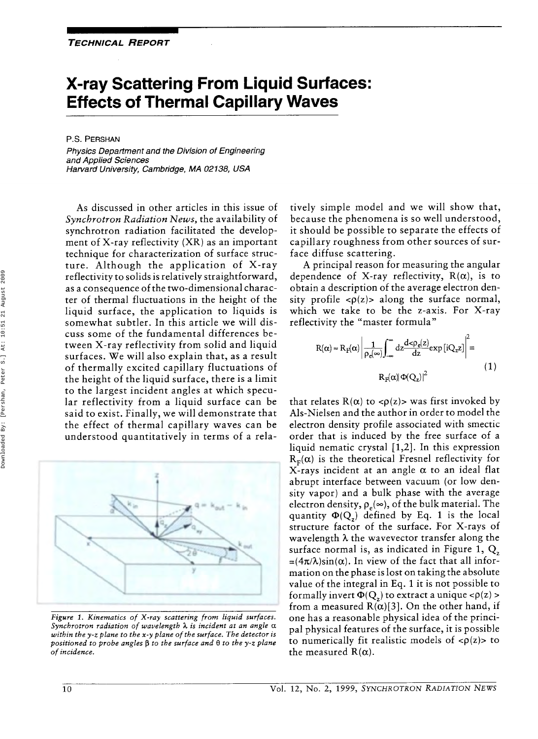# **X-ray Scattering From Liquid Surfaces: Effects of Thermal Capillary Waves**

P.S. **PERSHAN** 

*Physics Department and the Division of Engineering and Applied Sciences Harvard University, Cambridge, MA 02138, USA* 

As discussed in other articles in this issue of *Synchrotron Radiation News,* the availability of synchrotron radiation facilitated the development of X-ray reflectivity (XR) as an important technique for characterization of surface structure. Although the application of X-ray reflectivity to solids is relatively straightforward, as a consequence of the two-dimensional character of thermal fluctuations in the height of the liquid surface, the application to liquids is somewhat subtler. In this article we will discuss some of the fundamental differences between X-ray reflectivity from solid and liquid surfaces. We will also explain that, as a result of thermally excited capillary fluctuations of the height of the liquid surface, there is a limit to the largest incident angles at which specular reflectivity from a liquid surface can be said to exist. Finally, we will demonstrate that the effect of thermal capillary waves can be understood quantitatively in terms of a rela-



*Figure 1. Kinematics of X-ray scattering from liquid surfaces. Synchrotron radiation of wavelength h is incident at an angle a within the y-z plane to the x-y plane of the surface. The detector is positioned to probe angles* **p** *to the surface and* **8** *to the y-z plane of incidence.* 

tively simple model and we will show that, because the phenomena is so well understood, it should be possible to separate the effects of capillary roughness from other sources of surface diffuse scattering.

A principal reason for measuring the angular dependence of X-ray reflectivity,  $R(\alpha)$ , is to obtain a description of the average electron density profile  $\langle \rho(z) \rangle$  along the surface normal, which we take to be the z-axis. For X-ray reflectivity the "master formula"

$$
R(\alpha) \approx R_{F}(\alpha) \left| \frac{1}{\rho_{e}(\infty)} \int_{-\infty}^{\infty} dz \frac{d < \rho_{e}(z)}{dz} exp[iQ_{z}z] \right|^{2} =
$$
  
 
$$
R_{F}(\alpha) |\Phi(Q_{z})|^{2}
$$
 (1)

that relates  $R(\alpha)$  to <p(z)> was first invoked by Als-Nielsen and the author in order to model the electron density profile associated with smectic order that is induced by the free surface of a liquid nematic crystal  $[1,2]$ . In this expression  $R<sub>F</sub>(\alpha)$  is the theoretical Fresnel reflectivity for X-rays incident at an angle *a* to an ideal flat abrupt interface between vacuum (or low density vapor) and a bulk phase with the average electron density,  $\rho_e(\infty)$ , of the bulk material. The quantity  $\Phi(Q_7)$  defined by Eq. 1 is the local structure factor of the surface. For X-rays of wavelength *h* the wavevector transfer along the surface normal is, as indicated in Figure 1, *Q,*   $=(4\pi/\lambda)\sin(\alpha)$ . In view of the fact that all information on the phase is lost on taking the absolute value of the integral in **Eq.** 1 it is not possible to formally invert  $\Phi(Q_z)$  to extract a unique  $\langle \rho(z) \rangle$ from a measured  $R(\alpha)[3]$ . On the other hand, if one has a reasonable physical idea of the principal physical features of the surface, it is possible to numerically fit realistic models of  $\langle \rho(z) \rangle$  to the measured  $R(\alpha)$ .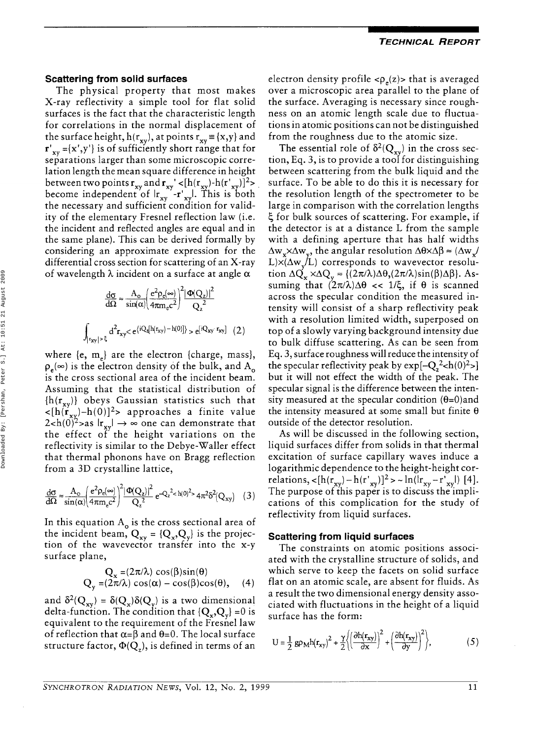#### **Scattering from solid surfaces**

The physical property that most makes X-ray reflectivity a simple tool for flat solid surfaces is the fact that the characteristic length for correlations in the normal displacement of the surface height,  $h(r_{xy})$ , at points  $r_{xy} \equiv \{x,y\}$  and  ${\bf r'}_{\bf xv} = {\bf x',y'}$  is of sufficiently short range that for separations larger than some microscopic correlation length the mean square difference in height between two points  $\mathbf{r}_{\mathbf{x}\mathbf{v}}$  and  $\mathbf{r}_{\mathbf{x}\mathbf{v}}' < [h(\mathbf{r}_{\mathbf{x}\mathbf{v}}) - h(\mathbf{r}_{\mathbf{x}\mathbf{v}}')]^2$ become independent of  $|r_{xy} - r_{xy}|$ . This is both the necessary and sufficient condition for validity of the elementary Fresnel reflection law (i.e. the incident and reflected angles are equal and in the same plane). This can be derived formally by considering an approximate expression for the differential cross section for scattering of an X-ray of wavelength *h* incident on a surface at angle *a* 

$$
\frac{d\sigma}{d\Omega} \approx \frac{A_o}{\sin(\alpha)} \left(\frac{e^2 \rho_e(\infty)}{4\pi m_e c^2}\right)^2 \frac{|\Phi(Q_z)|^2}{Q_z^2}
$$
\n
$$
\int_{|x_{xy}| > \xi} d^2 r_{xy} < e^{\{iQ_z[h(r_{xy}) - h(0)]\}} > e^{[iQ_{xy} - r_{xy}]} \quad (2)
$$

where  $\{e, m_e\}$  are the electron  $\{charge, mass\},\$  $p_e(\infty)$  is the electron density of the bulk, and A<sub>n</sub> is the cross sectional area of the incident beam. Assuming that the statistical distribution of  ${h(r_{xy})}$  obeys Gaussian statistics such that  $\langle \mathbf{h}(\mathbf{r}_{\mathbf{x}\mathbf{y}}) - \mathbf{h}(0) \rangle^2$  approaches a finite value  $2 < h(0)^2$  > as  $|\mathbf{r}_{\mathbf{x}\mathbf{y}}| \to \infty$  one can demonstrate that the effect of the height variations on the reflectivity is similar to the Debye-Waller effect that thermal phonons have on Bragg reflection from a 3D crystalline lattice,

$$
\frac{d\sigma}{d\Omega} \approx \frac{A_{\rm o}}{\sin(\alpha)} \left(\frac{e^2 \rho_{\rm e}(\infty)}{4\pi m_{\rm e}c^2}\right)^2 \frac{|\Phi(Q_z)|^2}{Q_z^2} e^{-Q_z^2 < h(0)^2 > 4\pi^2 \delta^2(Q_{xy})} \quad (3)
$$

In this equation  $A_0$  is the cross sectional area of the incident beam,  $Q_{xy} = {Q_x, Q_y}$  is the projection of the wavevector transfer into the x-y surface plane,

$$
Q_x = (2\pi/\lambda) \cos(\beta)\sin(\theta)
$$
  
 
$$
Q_y = (2\pi/\lambda) \cos(\alpha) - \cos(\beta)\cos(\theta), \quad (4)
$$

and  $\delta^2(Q_{xy}) = \delta(Q_x)\delta(Q_y)$  is a two dimensional delta-function. The condition that  ${Q_x, Q_y} = 0$  is equivalent to the requirement of the Fresnel law of reflection that  $\alpha = \beta$  and  $\theta = 0$ . The local surface structure factor,  $\Phi(Q_z)$ , is defined in terms of an

electron density profile  $\langle \rho_e(z) \rangle$  that is averaged over a microscopic area parallel to the plane of the surface. Averaging is necessary since roughness on an atomic length scale due to fluctuations in atomic positions can not be distinguished from the roughness due to the atomic size.

The essential role of  $\delta^2(Q_{xy})$  in the cross section, Eq. 3, is to provide a tool for distinguishing between scattering from the bulk liquid and the surface. To be able to do this it is necessary for the resolution length of the spectrometer to be large in comparison with the correlation lengths 5 for bulk sources of scattering. For example, if the detector is at a distance L from the sample with a defining aperture that has half widths  $\Delta w_x \times \Delta w_y$ , the angular resolution  $\Delta\theta \times \Delta\beta \approx (\Delta w_y/\Delta\theta)^2$  $L\times(\Delta w/JL)$  corresponds to wavevector resolution  $\Delta Q_x \times \Delta Q_y \approx \left( (2\pi/\lambda)\Delta\theta_s(2\pi/\lambda)\sin(\beta)\Delta\beta \right)$ . Assuming that  $(2\pi/\lambda)\Delta\theta \ll 1/\xi$ , if  $\theta$  is scanned across the specular condition the measured intensity will consist of a sharp reflectivity peak with a resolution limited width, superposed on top of a slowly varying background intensity due to bulk diffuse scattering. As can be seen from Eq. 3, surface roughness will reduce the intensity of the specular reflectivity peak by  $\exp[-Q_2^2 \text{ch}(0)^2]$ but it will not effect the width of the peak. The specular signal is the difference between the intensity measured at the specular condition  $(\theta=0)$  and the intensity measured at some small but finite **6**  outside of the detector resolution.

As will be discussed in the following section, liquid surfaces differ from solids in that thermal excitation of surface capillary waves induce a logarithmic dependence to the height-height correlations,  $\langle [h(r_{xy}) - h(r'_{xy})]^2 \rangle \sim ln(kr_{xy} - r'_{xy}|)$  [4]. The purpose of this paper is to discuss the implications of this complication for the study of reflectivity from liquid surfaces.

### **Scattering from liquid surfaces**

The constraints on atomic positions associated with the crystalline structure of solids, and which serve to keep the facets on solid surface flat on an atomic scale, are absent for fluids. As a result the two dimensional energy density associated with fluctuations in the height of a liquid surface has the form:

$$
U = \frac{1}{2} g \rho_M h(r_{xy})^2 + \frac{\gamma}{2} \left\{ \left( \frac{\partial h(r_{xy})}{\partial x} \right)^2 + \left( \frac{\partial h(r_{xy})}{\partial y} \right)^2 \right\},\tag{5}
$$

Downloaded By: [Pershan, Peter S.] At: 10:51 21 August 2009Downloaded By: [Pershan, Peter S.] At: 10:51 21 August 2009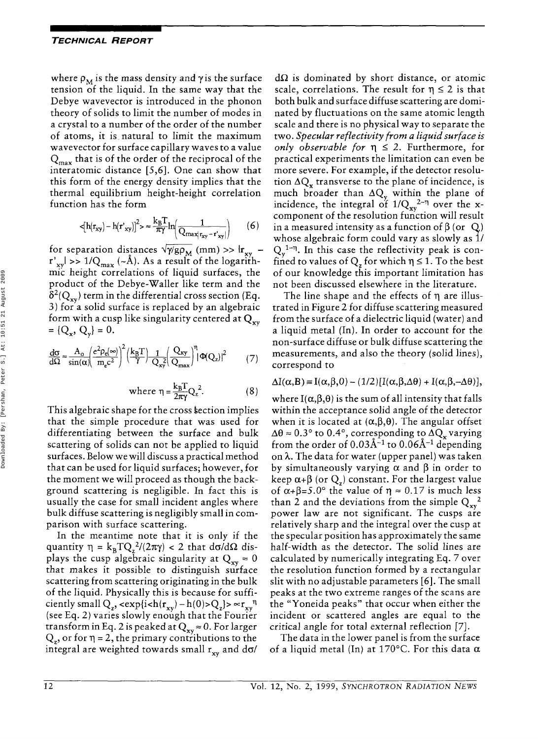where  $\rho_M$  is the mass density and  $\gamma$  is the surface tension of the liquid. In the same way that the Debye wavevector is introduced in the phonon theory of solids to limit the number of modes in a crystal to a number of the order of the number of atoms, it is. natural to limit the maximum wavevector for surface capillary waves to a value  $Q_{\text{max}}$  that is of the order of the reciprocal of the interatomic distance **[5,6].** One can show that this form of the energy density implies that the thermal equilibrium height-height correlation function has the form

$$
\left\langle \left[ h(r_{xy}) - h(r'_{xy}) \right]^{2} \right\rangle \approx \frac{k_{B}T}{\pi\gamma} \ln \left( \frac{1}{Q_{\max(r_{xy} - r'_{xy})}} \right) \tag{6}
$$

for separation distances  $\sqrt{\gamma/g\rho_M}$  (mm) >>  $\ln_{xy}$   $r'_{xy}$  >> 1/Q<sub>max</sub> (~Å). As a result of the logarithmic height correlations of liquid surfaces, the product of the Debye-Waller like term and the  $\delta^2(Q_{xy})$  term in the differential cross section (Eq. *3)* for a solid surface is replaced by an algebraic form with a cusp like singularity centered at  $Q_{xy}$  $= \{Q_x, Q_y\} = 0.$ 

$$
\frac{d\sigma}{d\Omega} \approx \frac{A_o}{\sin(\alpha)} \left(\frac{e^2 \rho_e(\infty)}{m_e c^2}\right)^2 \left(\frac{k_B T}{\gamma}\right) \frac{1}{Q_{xy}} \left(\frac{Q_{xy}}{Q_{max}}\right)^{\eta} \left(\Phi(Q_z)\right)^2 \tag{7}
$$

where 
$$
\eta = \frac{k_B T}{2\pi \gamma} Q_z^2
$$
. (8)

This algebraic shape for the cross section implies that the simple procedure that was used for differentiating between the surface and bulk scattering of solids can not be applied to liquid surfaces. Below we will discuss a practical method that can be used for liquid surfaces; however, for the moment we will proceed as though the background scattering is negligible. In fact this is usually the case for small incident angles where bulk diffuse scattering is negligibly small in comparison with surface scattering.

In the meantime note that it is only if the quantity  $\eta = k_B T Q_z^2/(2\pi\gamma) < 2$  that do/d $\Omega$  displays the cusp algebraic singularity at  $Q_{xy} \approx 0$ that makes it possible to distinguish surface scattering from scattering originating in the bulk of the liquid. Physically this is because for sufficiently small  $Q_z$ , <exp{i<h(r<sub>xy</sub>) - h(0)> $Q_z$ }>  $\propto r_{xy}^{η}$ (see Eq. 2) varies slowly enough that the Fourier transform in Eq. 2 is peaked at  $Q_{xx} \approx 0$ . For larger  $Q<sub>z</sub>$ , or for  $\eta = 2$ , the primary contributions to the integral are weighted towards small  $r_{xy}$  and do/

 $d\Omega$  is dominated by short distance, or atomic scale, correlations. The result for  $\eta \leq 2$  is that both bulk and surface diffuse scattering are dominated by fluctuations on the same atomic length scale and there is no physical way to separate the two. *Specular reflectivity from a liquid surface is only observable for*  $\eta \leq 2$ . Furthermore, for practical experiments the limitation can even be more severe. For example, if the detector resolution  $\Delta Q_x$  transverse to the plane of incidence, is much broader than  $\Delta Q_{v}$  within the plane of incidence, the integral of  $1/Q_{\rm vv}^2$ <sup>- $\eta$ </sup> over the xcomponent of the resolution function will result in a measured intensity as a function of  $\beta$  (or  $Q$ ) whose algebraic form could vary as slowly as 1/  $Q_v^{1-\eta}$ . In this case the reflectivity peak is confined to values of  $Q<sub>z</sub>$  for which  $\eta \leq 1$ . To the best of our knowledge this important limitation has not been discussed elsewhere in the literature.

The line shape and the effects of  $\eta$  are illustrated in Figure 2 for diffuse scattering measured from the surface of a dielectric liquid (water) and a liquid metal (In). In order to account for the non-surface diffuse or bulk diffuse scattering the measurements, and also the theory (solid lines), correspond to

$$
\Delta I(\alpha, B) = I(\alpha, \beta, 0) - (1/2)[I(\alpha, \beta, \Delta\theta) + I(\alpha, \beta, -\Delta\theta)],
$$

where  $I(\alpha,\beta,\theta)$  is the sum of all intensity that falls within the acceptance solid angle of the detector when it is located at  $(\alpha, \beta, \theta)$ . The angular offset  $\Delta\theta \approx 0.3^{\circ}$  to 0.4°, corresponding to  $\Delta Q_x$  varying from the order of  $0.03\text{\AA}^{-1}$  to  $0.06\text{\AA}^{-1}$  depending on *h.* The data for water (upper panel) was taken by simultaneously varying  $\alpha$  and  $\beta$  in order to keep  $\alpha + \beta$  (or  $Q<sub>z</sub>$ ) constant. For the largest value of  $\alpha$ + $\beta$ =5.0° the value of  $\eta \approx 0.17$  is much less than 2 and the deviations from the simple  $Q_{xx}^2$ power law are not significant. The cusps are relatively sharp and the integral over the cusp at the specular position has approximately the same half-width as the detector. The solid lines are calculated by numerically integrating Eq. 7 over the resolution function formed by a rectangular slit with no adjustable parameters **[6].** The small peaks at the two extreme ranges of the scans are the "Yoneida peaks" that occur when either the incident or scattered angles are equal to the critical angle for total external reflection *[7].* 

The data in the lower panel is from the surface of a liquid metal (In) at 170°C. For this data *a*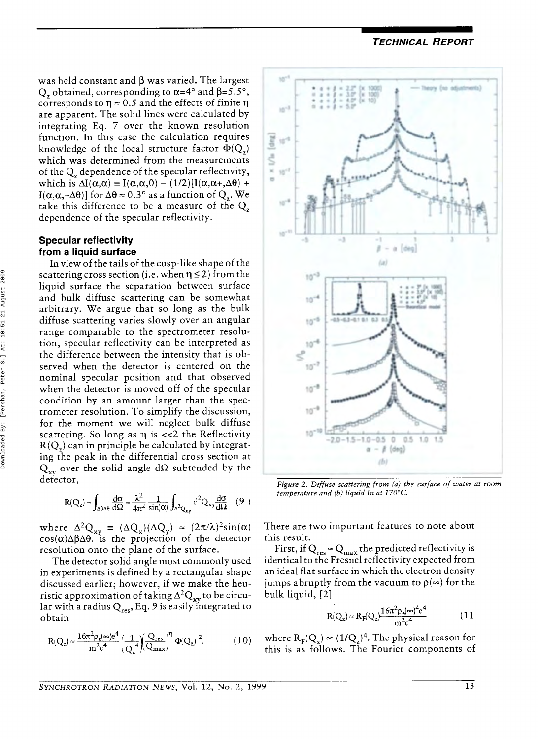*TECHNICAL REPORT* 

was held constant and  $\beta$  was varied. The largest Q<sub>r</sub> obtained, corresponding to  $\alpha$ =4° and  $\beta$ =5.5°, corresponds to  $\eta \approx 0.5$  and the effects of finite  $\eta$ are apparent. The solid lines were calculated by integrating Eq. 7 over the known resolution function. In this case the calculation requires knowledge of the local structure factor  $\Phi(Q)$ which was determined from the measurements of the Q, dependence of the specular reflectivity, which is  $\Delta I(\alpha, \alpha) = I(\alpha, \alpha, 0) - (1/2)[I(\alpha, \alpha + \alpha \theta) +$ I( $\alpha, \alpha, -\Delta\theta$ )] for  $\Delta\theta \approx 0.3^\circ$  as a function of  $Q_z$ . We take this difference to be a measure of the Q, dependence of the specular reflectivity.

# **Specular reflectivity from a liquid surface**

In view of the tails of the cusp-like shape of the scattering cross section (i.e. when  $\eta \leq 2$ ) from the liquid surface the separation between surface and bulk diffuse scattering can be somewhat arbitrary. We argue that so long as the bulk diffuse scattering varies slowly over an angular range comparable to the spectrometer resolution, specular reflectivity can be interpreted as the difference between the intensity that is observed when the detector is centered on the nominal specular position and that observed when the detector is moved off of the specular condition by an amount larger than the spectrometer resolution. To simplify the discussion, for the moment we will neglect bulk diffuse scattering. So long as  $\eta$  is <<2 the Reflectivity  $R(Q<sub>x</sub>)$  can in principle be calculated by integrating the peak in the differential cross section at  $Q_{xy}$  over the solid angle d $\Omega$  subtended by the detector,

$$
R(Q_z) = \int_{\Delta\beta\Delta\theta} \frac{d\sigma}{d\Omega} = \frac{\lambda^2}{4\pi^2} \frac{1}{\sin(\alpha)} \int_{\Delta^2Q_{xy}} d^2Q_{xy} \frac{d\sigma}{d\Omega} \quad (9)
$$

where  $\Delta^2 Q_{xy} = (\Delta Q_x)(\Delta Q_y) \approx (2\pi/\lambda)^2 \sin(\alpha)$  Th  $cos(\alpha)\Delta\beta\Delta\theta$ . is the projection of the detector resolution onto the plane of the surface.

The detector solid angle most commonly used in experiments is defined by a rectangular shape discussed earlier; however, if we make the heuristic approximation of taking  $\Delta^2 Q_{xy}$  to be circular with a radius Q<sub>res</sub>, Eq. 9 is easily integrated to obtain

$$
R(Q_z) \approx \frac{16\pi^2 \rho_e(\infty)e^4}{m^2c^4} \left(\frac{1}{Q_z^4}\right) \left(\frac{Q_{res}}{Q_{max}}\right)^{\eta} |\Phi(Q_z)|^2.
$$
 (10)



*Figure 2. Diffuse scattering from (a) the surface of water at room temperature and (b) liquid In at 170°C.* 

There are two important features to note about this result.

First, if  $Q_{res} \approx Q_{max}$  the predicted reflectivity is identical to the Fresnel reflectivity expected from an ideal flat surface in which the electron density jumps abruptly from the vacuum to  $\rho(\infty)$  for the bulk liquid, [2]

$$
R(Q_z) \approx R_F(Q_z) \frac{16\pi^2 \rho_e(\infty)^2 e^4}{m^2 c^4}
$$
 (11)

where  $R_F(Q_\nu) \propto (1/Q_\nu)^4$ . The physical reason for this is as follows. The Fourier components of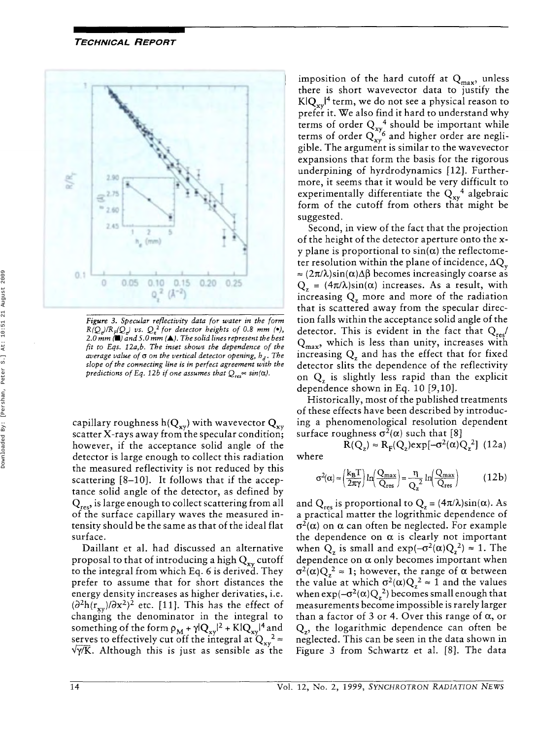## *TECHNICAL REPORT*



*Figure 3. Specular reflectivity data for water in the form*   $R(Q)/R_F(Q)$  us.  $Q_*^2$  for detector heights of 0.8 mm (\*), 2.0 mm  $\left(\blacksquare\right)$  and 5.0 mm  $\left(\blacktriangle\right)$ . The solid lines represent the best *fit to Eqs. I2a,b. The inset shows the dependence of the average value of*  $\sigma$  *on the vertical detector opening,*  $h_d$ *. The slope of the connecting line is in perfect agreement with the predictions of Eq. 12b if one assumes that*  $Q_{res} \propto \sin(\alpha)$ .

capillary roughness  $h(Q_{xy})$  with wavevector  $Q_{xy}$ scatter X-rays away from the specular condition; however, if the acceptance solid angle of the detector is large enough to collect this radiation the measured reflectivity is not reduced by this scattering  $[8-10]$ . It follows that if the acceptance solid angle of the detector, as defined by  $Q_{res}$ , is large enough to collect scattering from all of the surface capillary waves the measured intensity should be the same as that of the ideal flat surface.

Daillant et al. had discussed an alternative proposal to that of introducing a high  $Q_{xy}$  cutoff to the integral from which **Eq.** *6* is derived. They prefer to assume that for short distances the energy density increases as higher derivaties, i.e.  $(\partial^2 h(r_{xy})/\partial x^2)^2$  etc. [11]. This has the effect of changing the denominator in the integral to something of the form  $\rho_M + \gamma |Q_{xy}|^2 + K |Q_{xy}|^4$  and serves to effectively cut off the integral at  $Q_{xy}^2 \approx$  $\sqrt{\gamma/K}$ . Although this is just as sensible as the

imposition of the hard cutoff at  $Q_{max}$ , unless there is short wavevector data to justify the  $KIQ_{vv}^{\dagger}$ <sup>4</sup> term, we do not see a physical reason to prefer it. We also find it hard to understand why terms of order  $Q_{xy}^4$  should be important while terms of order  $Q_{xy}^{\gamma_6}$  and higher order are negligible. The argument is similar to the wavevector expansions that form the basis for the rigorous underpining of hyrdrodynamics [ 121. Furthermore, it seems that it would be very difficult to experimentally differentiate the  $Q_{xy}^4$  algebraic form of the cutoff from others that might be suggested.

Second, in view of the fact that the projection of the height of the detector aperture onto the **x**y plane is proportional to  $sin(\alpha)$  the reflectometer resolution within the plane of incidence,  $\Delta Q_{\nu}$  $\approx$   $(2\pi/\lambda)\sin(\alpha)\Delta\beta$  becomes increasingly coarse as  $Q_z = (4\pi/\lambda)\sin(\alpha)$  increases. As a result, with increasing  $Q_z$  more and more of the radiation that is scattered away from the specular direction falls within the acceptance solid angle of the detector. This is evident in the fact that  $Q_{res}$  $Q_{\text{max}}$ , which is less than unity, increases with increasing  $Q<sub>z</sub>$  and has the effect that for fixed detector slits the dependence of the reflectivity on  $Q_z$  is slightly less rapid than the explicit dependence shown in **Eq.** 10 [9,10].

Historically, most of the published treatments of these effects have been described by introducing a phenomenological resolution dependent surface roughness  $\sigma^2(\alpha)$  such that [8]

 $R(Q_z) \approx R_{\rm E}(Q_z) \exp[-\sigma^2(\alpha)Q_z^2]$  (12a) where

$$
\sigma^2(\alpha) \approx \left(\frac{k_B T}{2\pi\gamma}\right) \ln\!\left(\frac{Q_{max}}{Q_{res}}\right) = \frac{\eta}{Q_z^2} \ln\!\left(\frac{Q_{max}}{Q_{res}}\right) \hspace{1cm} (12b)
$$

and  $Q_{res}$  is proportional to  $Q_z = (4\pi/\lambda)\sin(\alpha)$ . As a practical matter the logrithmic dependence of  $\sigma^2(\alpha)$  on  $\alpha$  can often be neglected. For example the dependence on  $\alpha$  is clearly not important when  $Q_z$  is small and  $exp(-\sigma^2(\alpha)Q_z^2) \approx 1$ . The dependence on *a* only becomes important when  $\sigma^2(\alpha)Q_z^2 \approx 1$ ; however, the range of  $\alpha$  between the value at which  $\sigma^2(\alpha)Q_\tau^2 \approx 1$  and the values when  $\exp(-\sigma^2(\alpha)Q_r^2)$  becomes small enough that measurements become impossible is rarely larger than a factor of *3* or 4. Over this range of *a,* or Q,, the logarithmic dependence can often be neglected. This can be seen in the data shown in Figure *3* from Schwartz et al. [8]. The data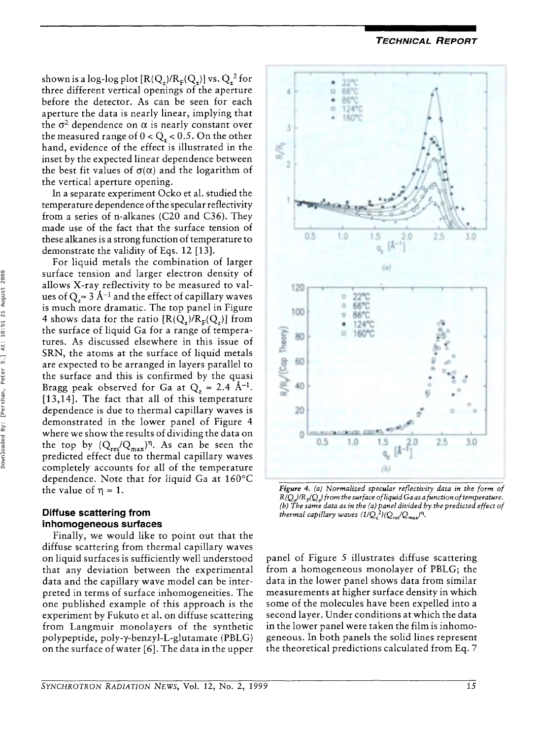*TECHNICAL REPORT* 

shown is a log-log plot  $[R(Q_z)/R_F(Q_z)]$  vs.  $Q_z^2$  for three different vertical openings of the aperture before the detector. **As** can be seen for each aperture the data is nearly linear, implying that the  $\sigma^2$  dependence on  $\alpha$  is nearly constant over the measured range of  $0 < Q_z < 0.5$ . On the other hand, evidence of the effect is illustrated in the inset by the expected linear dependence between the best fit values of  $\sigma(\alpha)$  and the logarithm of the vertical aperture opening.

In a separate experiment Ocko et al. studied the temperature dependence of the specular reflectivity from a series of n-alkanes (C20 and C36). They made use of the fact that the surface tension of these alkanes is a strong function of temperature to demonstrate the validity of Eqs. 12 [13].

For liquid metals the combination of larger surface tension and larger electron density of allows X-ray reflectivity to be measured to values of  $Q_z \approx 3 \text{ Å}^{-1}$  and the effect of capillary waves is much more dramatic. The top panel in Figure 4 shows data for the ratio  $[R(Q_x)/R_E(Q_x)]$  from the surface of liquid Ga for a range of temperatures. **As** discussed elsewhere in this issue of SRN, the atoms at the surface of liquid metals are expected to be arranged in layers parallel to the surface and this is confirmed by the quasi Bragg peak observed for Ga at  $Q_7 \approx 2.4 \text{ Å}^{-1}$ . [13,14]. The fact that all of this temperature dependence is due to thermal capillary waves is demonstrated in the lower panel of Figure 4 where we show the results of dividing the data on the top by  $(Q_{res}/Q_{max})^{\eta}$ . As can be seen the predicted effect due to thermal capillary waves completely accounts for all of the temperature dependence. Note that for liquid Ga at 160°C the value of  $\eta \approx 1$ .

## **Diffuse scattering from inhomogeneous surfaces**

Finally, we would like to point out that the diffuse scattering from thermal capillary waves on liquid surfaces is sufficiently well understood that any deviation between the experimental data and the capillary wave model can be interpreted in terms of surface inhomogeneities. The one published example of this approach is the experiment by Fukuto et al. on diffuse scattering from Langmuir monolayers of the synthetic polypeptide, poly-y-benzyl-L-glutamate (PBLG) on the surface of water **[6].** The data in the upper



*Figure 4. (a) Normalized specular reflectivity data in the form of*   $R(Q_1)/R_F(Q_2)$  from the surface of liquid Ga as a function of temperature. *(b) The same data as in the (a) panel divided by the predicted effect of thermal capillary waves*  $(1/Q_z^2)(Q_{\text{res}}/Q_{\text{max}})^n$ *.* 

panel of Figure 5 illustrates diffuse scattering from a homogeneous monolayer of PBLG; the data in the lower panel shows data from similar measurements at higher surface density in which some of the molecules have been expelled into a second layer. Under conditions at which the data in the lower panel were taken the film is inhomogeneous. In both panels the solid lines represent the theoretical predictions calculated from Eq. 7